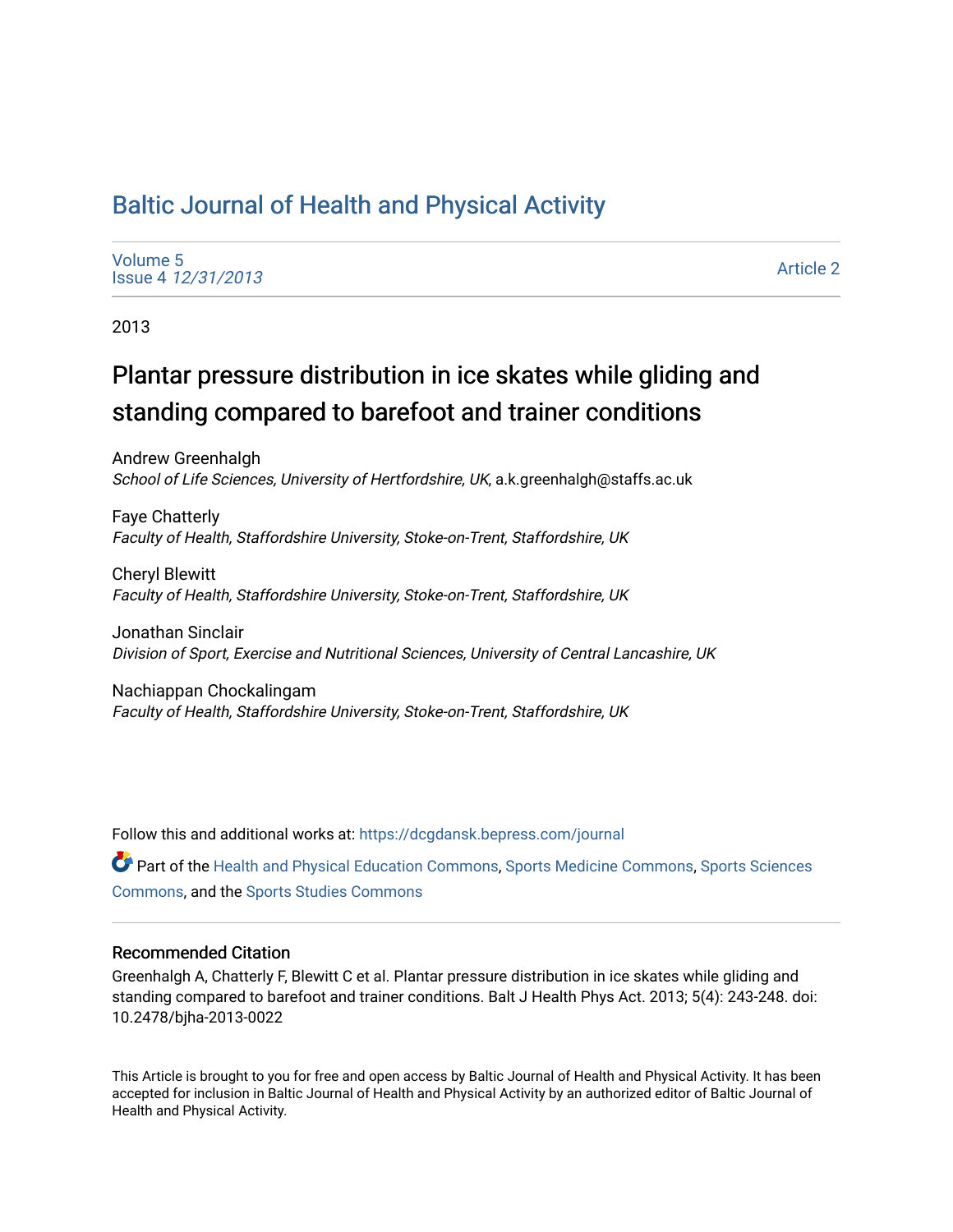# [Baltic Journal of Health and Physical Activity](https://dcgdansk.bepress.com/journal)

[Volume 5](https://dcgdansk.bepress.com/journal/vol5) Issue 4 [12/31/2013](https://dcgdansk.bepress.com/journal/vol5/iss4)

[Article 2](https://dcgdansk.bepress.com/journal/vol5/iss4/2) 

2013

# Plantar pressure distribution in ice skates while gliding and standing compared to barefoot and trainer conditions

Andrew Greenhalgh School of Life Sciences, University of Hertfordshire, UK, a.k.greenhalgh@staffs.ac.uk

Faye Chatterly Faculty of Health, Staffordshire University, Stoke-on-Trent, Staffordshire, UK

Cheryl Blewitt Faculty of Health, Staffordshire University, Stoke-on-Trent, Staffordshire, UK

Jonathan Sinclair Division of Sport, Exercise and Nutritional Sciences, University of Central Lancashire, UK

Nachiappan Chockalingam Faculty of Health, Staffordshire University, Stoke-on-Trent, Staffordshire, UK

Follow this and additional works at: [https://dcgdansk.bepress.com/journal](https://dcgdansk.bepress.com/journal?utm_source=dcgdansk.bepress.com%2Fjournal%2Fvol5%2Fiss4%2F2&utm_medium=PDF&utm_campaign=PDFCoverPages)

Part of the [Health and Physical Education Commons](http://network.bepress.com/hgg/discipline/1327?utm_source=dcgdansk.bepress.com%2Fjournal%2Fvol5%2Fiss4%2F2&utm_medium=PDF&utm_campaign=PDFCoverPages), [Sports Medicine Commons,](http://network.bepress.com/hgg/discipline/1331?utm_source=dcgdansk.bepress.com%2Fjournal%2Fvol5%2Fiss4%2F2&utm_medium=PDF&utm_campaign=PDFCoverPages) [Sports Sciences](http://network.bepress.com/hgg/discipline/759?utm_source=dcgdansk.bepress.com%2Fjournal%2Fvol5%2Fiss4%2F2&utm_medium=PDF&utm_campaign=PDFCoverPages) [Commons](http://network.bepress.com/hgg/discipline/759?utm_source=dcgdansk.bepress.com%2Fjournal%2Fvol5%2Fiss4%2F2&utm_medium=PDF&utm_campaign=PDFCoverPages), and the [Sports Studies Commons](http://network.bepress.com/hgg/discipline/1198?utm_source=dcgdansk.bepress.com%2Fjournal%2Fvol5%2Fiss4%2F2&utm_medium=PDF&utm_campaign=PDFCoverPages) 

#### Recommended Citation

Greenhalgh A, Chatterly F, Blewitt C et al. Plantar pressure distribution in ice skates while gliding and standing compared to barefoot and trainer conditions. Balt J Health Phys Act. 2013; 5(4): 243-248. doi: 10.2478/bjha-2013-0022

This Article is brought to you for free and open access by Baltic Journal of Health and Physical Activity. It has been accepted for inclusion in Baltic Journal of Health and Physical Activity by an authorized editor of Baltic Journal of Health and Physical Activity.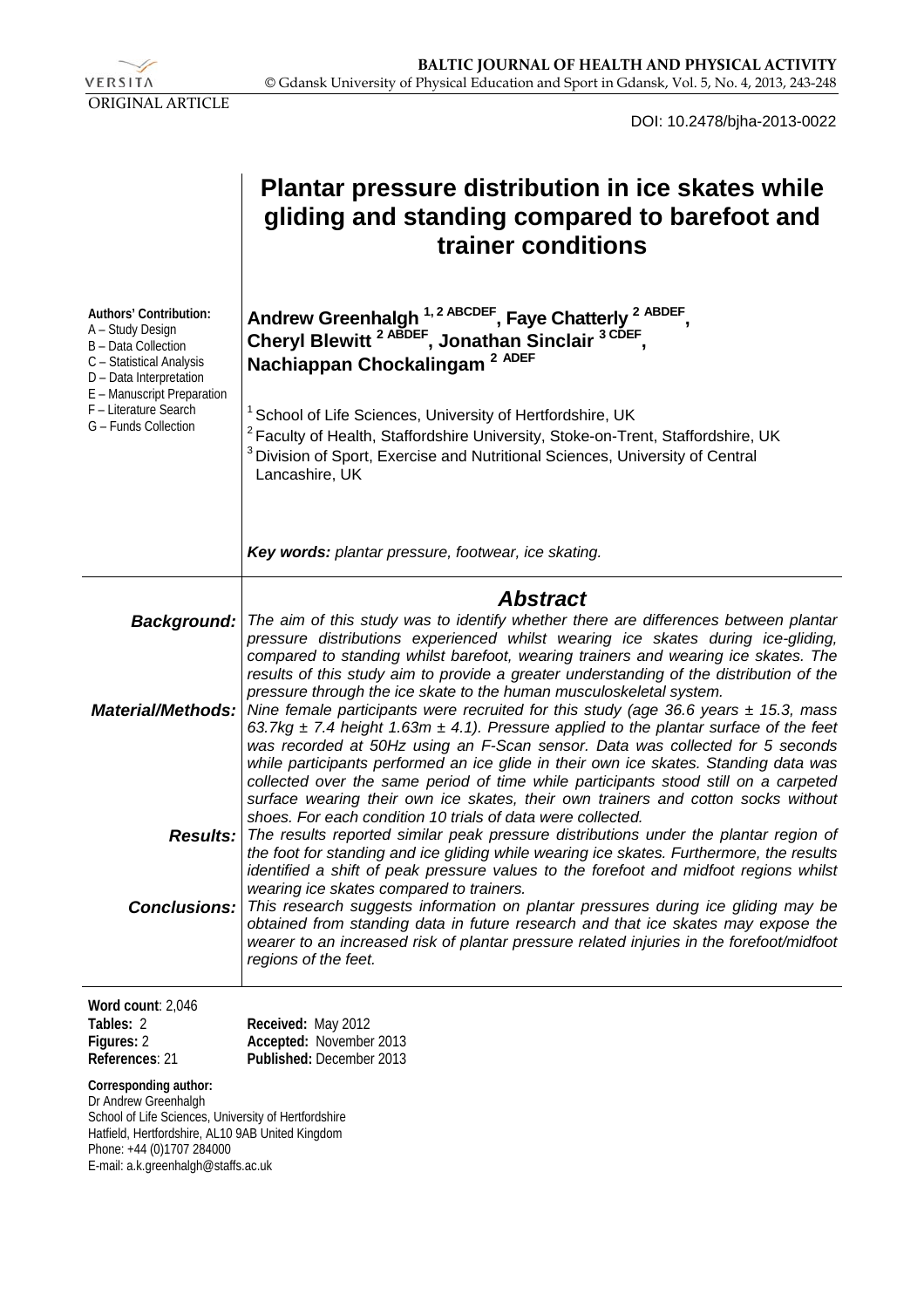

DOI: 10.2478/bjha-2013-0022

|                                                                                                                                                                                                                | <b>Plantar pressure distribution in ice skates while</b><br>gliding and standing compared to barefoot and<br>trainer conditions                                                                                                                                                                                                                                                                                                                                                                                                                                  |  |  |  |  |  |
|----------------------------------------------------------------------------------------------------------------------------------------------------------------------------------------------------------------|------------------------------------------------------------------------------------------------------------------------------------------------------------------------------------------------------------------------------------------------------------------------------------------------------------------------------------------------------------------------------------------------------------------------------------------------------------------------------------------------------------------------------------------------------------------|--|--|--|--|--|
| Authors' Contribution:<br>A - Study Design<br><b>B</b> - Data Collection<br>C - Statistical Analysis<br>D - Data Interpretation<br>E - Manuscript Preparation<br>F - Literature Search<br>G - Funds Collection | Andrew Greenhalgh <sup>1, 2 ABCDEF</sup> , Faye Chatterly <sup>2 ABDEF</sup> ,<br>Cheryl Blewitt <sup>2 ABDEF</sup> , Jonathan Sinclair <sup>3 CDEF</sup> ,<br>Nachiappan Chockalingam <sup>2 ADEF</sup><br>School of Life Sciences, University of Hertfordshire, UK<br>Faculty of Health, Staffordshire University, Stoke-on-Trent, Staffordshire, UK<br>Division of Sport, Exercise and Nutritional Sciences, University of Central<br>Lancashire, UK                                                                                                          |  |  |  |  |  |
|                                                                                                                                                                                                                | Key words: plantar pressure, footwear, ice skating.                                                                                                                                                                                                                                                                                                                                                                                                                                                                                                              |  |  |  |  |  |
| <b>Background:</b>                                                                                                                                                                                             | <b>Abstract</b><br>The aim of this study was to identify whether there are differences between plantar<br>pressure distributions experienced whilst wearing ice skates during ice-gliding,<br>compared to standing whilst barefoot, wearing trainers and wearing ice skates. The                                                                                                                                                                                                                                                                                 |  |  |  |  |  |
|                                                                                                                                                                                                                | results of this study aim to provide a greater understanding of the distribution of the<br>pressure through the ice skate to the human musculoskeletal system.<br><b>Material/Methods:</b> Nine female participants were recruited for this study (age 36.6 years $\pm$ 15.3, mass<br>63.7kg $\pm$ 7.4 height 1.63m $\pm$ 4.1). Pressure applied to the plantar surface of the feet<br>was recorded at 50Hz using an F-Scan sensor. Data was collected for 5 seconds<br>while participants performed an ice glide in their own ice skates. Standing data was     |  |  |  |  |  |
| <b>Results:</b>                                                                                                                                                                                                | collected over the same period of time while participants stood still on a carpeted<br>surface wearing their own ice skates, their own trainers and cotton socks without<br>shoes. For each condition 10 trials of data were collected.<br>The results reported similar peak pressure distributions under the plantar region of<br>the foot for standing and ice gliding while wearing ice skates. Furthermore, the results<br>identified a shift of peak pressure values to the forefoot and midfoot regions whilst<br>wearing ice skates compared to trainers. |  |  |  |  |  |
| <b>Conclusions:</b>                                                                                                                                                                                            | This research suggests information on plantar pressures during ice gliding may be<br>obtained from standing data in future research and that ice skates may expose the<br>wearer to an increased risk of plantar pressure related injuries in the forefoot/midfoot<br>regions of the feet.                                                                                                                                                                                                                                                                       |  |  |  |  |  |
| Word count: 2,046                                                                                                                                                                                              |                                                                                                                                                                                                                                                                                                                                                                                                                                                                                                                                                                  |  |  |  |  |  |
| Tables: 2<br>Figures: 2<br>References: 21                                                                                                                                                                      | Received: May 2012<br>Accepted: November 2013<br>Published: December 2013                                                                                                                                                                                                                                                                                                                                                                                                                                                                                        |  |  |  |  |  |

#### **Corresponding author:**

Dr Andrew Greenhalgh School of Life Sciences, University of Hertfordshire Hatfield, Hertfordshire, AL10 9AB United Kingdom Phone: +44 (0)1707 284000 E-mail: a.k.greenhalgh@staffs.ac.uk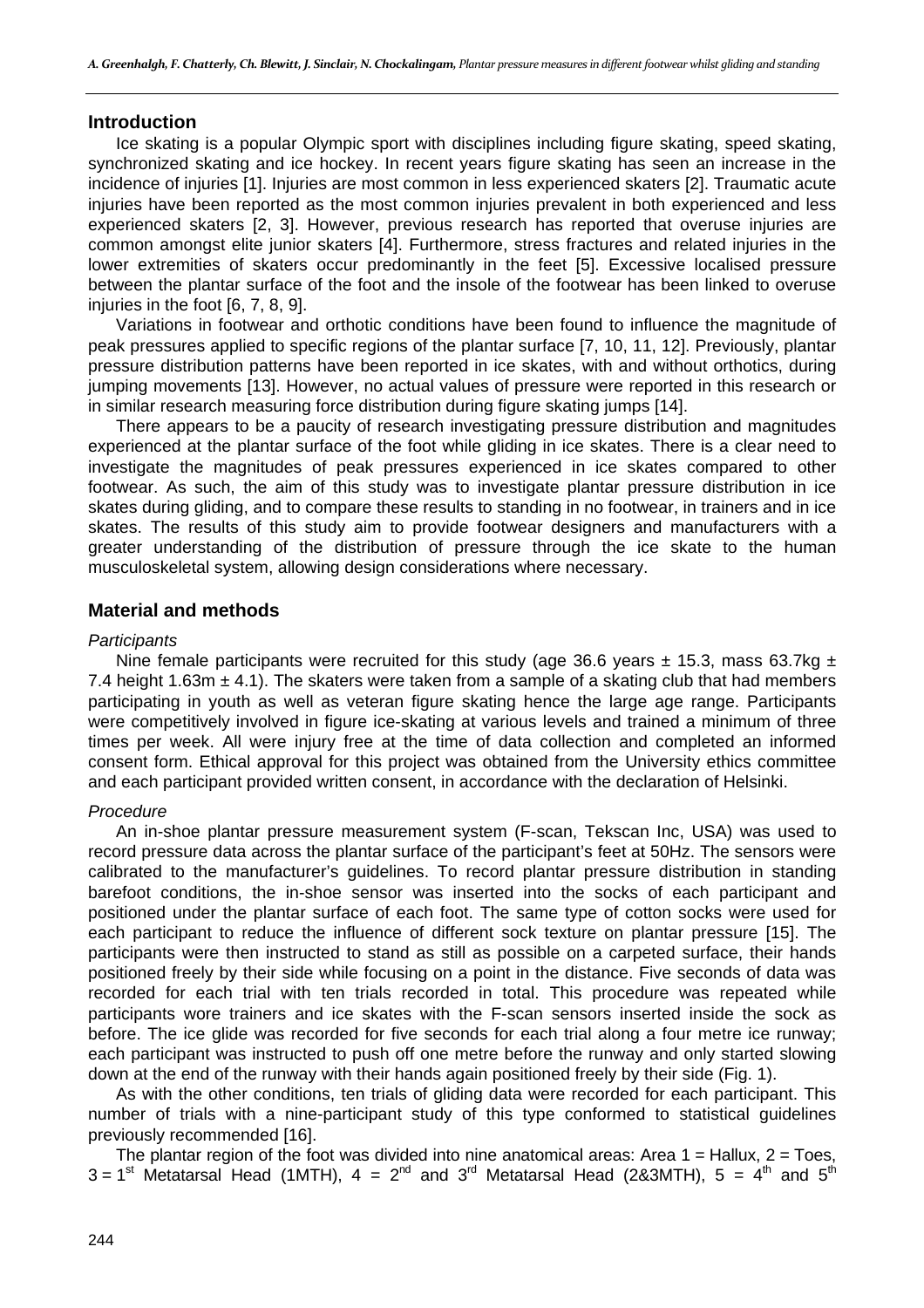### **Introduction**

Ice skating is a popular Olympic sport with disciplines including figure skating, speed skating, synchronized skating and ice hockey. In recent years figure skating has seen an increase in the incidence of injuries [1]. Injuries are most common in less experienced skaters [2]. Traumatic acute injuries have been reported as the most common injuries prevalent in both experienced and less experienced skaters [2, 3]. However, previous research has reported that overuse injuries are common amongst elite junior skaters [4]. Furthermore, stress fractures and related injuries in the lower extremities of skaters occur predominantly in the feet [5]. Excessive localised pressure between the plantar surface of the foot and the insole of the footwear has been linked to overuse injuries in the foot [6, 7, 8, 9].

Variations in footwear and orthotic conditions have been found to influence the magnitude of peak pressures applied to specific regions of the plantar surface [7, 10, 11, 12]. Previously, plantar pressure distribution patterns have been reported in ice skates, with and without orthotics, during jumping movements [13]. However, no actual values of pressure were reported in this research or in similar research measuring force distribution during figure skating jumps [14].

There appears to be a paucity of research investigating pressure distribution and magnitudes experienced at the plantar surface of the foot while gliding in ice skates. There is a clear need to investigate the magnitudes of peak pressures experienced in ice skates compared to other footwear. As such, the aim of this study was to investigate plantar pressure distribution in ice skates during gliding, and to compare these results to standing in no footwear, in trainers and in ice skates. The results of this study aim to provide footwear designers and manufacturers with a greater understanding of the distribution of pressure through the ice skate to the human musculoskeletal system, allowing design considerations where necessary.

## **Material and methods**

#### *Participants*

Nine female participants were recruited for this study (age 36.6 years  $\pm$  15.3, mass 63.7kg  $\pm$ 7.4 height 1.63m  $\pm$  4.1). The skaters were taken from a sample of a skating club that had members participating in youth as well as veteran figure skating hence the large age range. Participants were competitively involved in figure ice-skating at various levels and trained a minimum of three times per week. All were injury free at the time of data collection and completed an informed consent form. Ethical approval for this project was obtained from the University ethics committee and each participant provided written consent, in accordance with the declaration of Helsinki.

#### *Procedure*

An in-shoe plantar pressure measurement system (F-scan, Tekscan Inc, USA) was used to record pressure data across the plantar surface of the participant's feet at 50Hz. The sensors were calibrated to the manufacturer's guidelines. To record plantar pressure distribution in standing barefoot conditions, the in-shoe sensor was inserted into the socks of each participant and positioned under the plantar surface of each foot. The same type of cotton socks were used for each participant to reduce the influence of different sock texture on plantar pressure [15]. The participants were then instructed to stand as still as possible on a carpeted surface, their hands positioned freely by their side while focusing on a point in the distance. Five seconds of data was recorded for each trial with ten trials recorded in total. This procedure was repeated while participants wore trainers and ice skates with the F-scan sensors inserted inside the sock as before. The ice glide was recorded for five seconds for each trial along a four metre ice runway; each participant was instructed to push off one metre before the runway and only started slowing down at the end of the runway with their hands again positioned freely by their side (Fig. 1).

As with the other conditions, ten trials of gliding data were recorded for each participant. This number of trials with a nine-participant study of this type conformed to statistical guidelines previously recommended [16].

The plantar region of the foot was divided into nine anatomical areas: Area  $1 =$  Hallux,  $2 =$  Toes,  $3 = 1^{st}$  Metatarsal Head (1MTH),  $4 = 2^{nd}$  and  $3^{rd}$  Metatarsal Head (2&3MTH),  $5 = 4^{th}$  and  $5^{th}$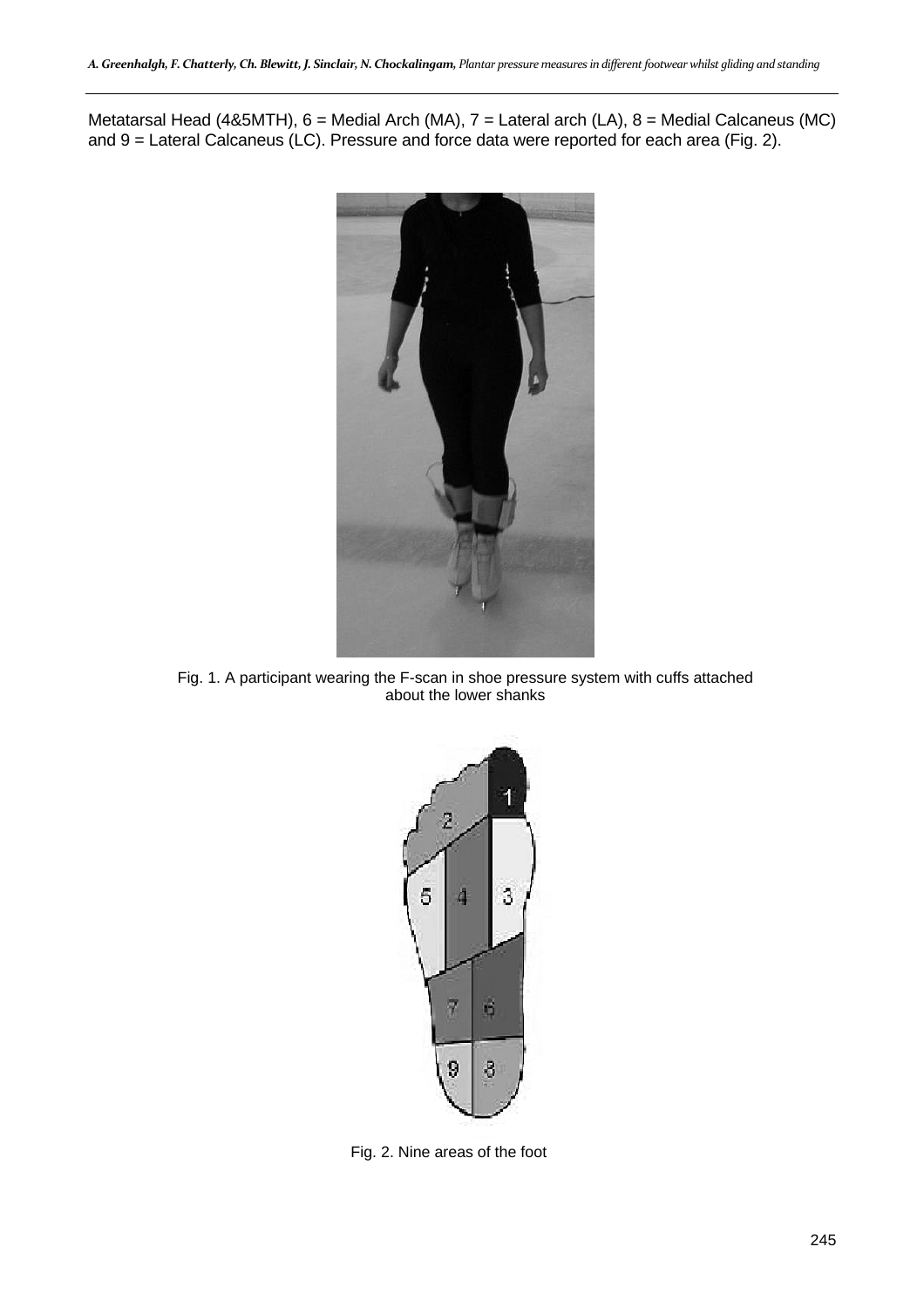Metatarsal Head (4&5MTH), 6 = Medial Arch (MA), 7 = Lateral arch (LA), 8 = Medial Calcaneus (MC) and 9 = Lateral Calcaneus (LC). Pressure and force data were reported for each area (Fig. 2).



Fig. 1. A participant wearing the F-scan in shoe pressure system with cuffs attached about the lower shanks



Fig. 2. Nine areas of the foot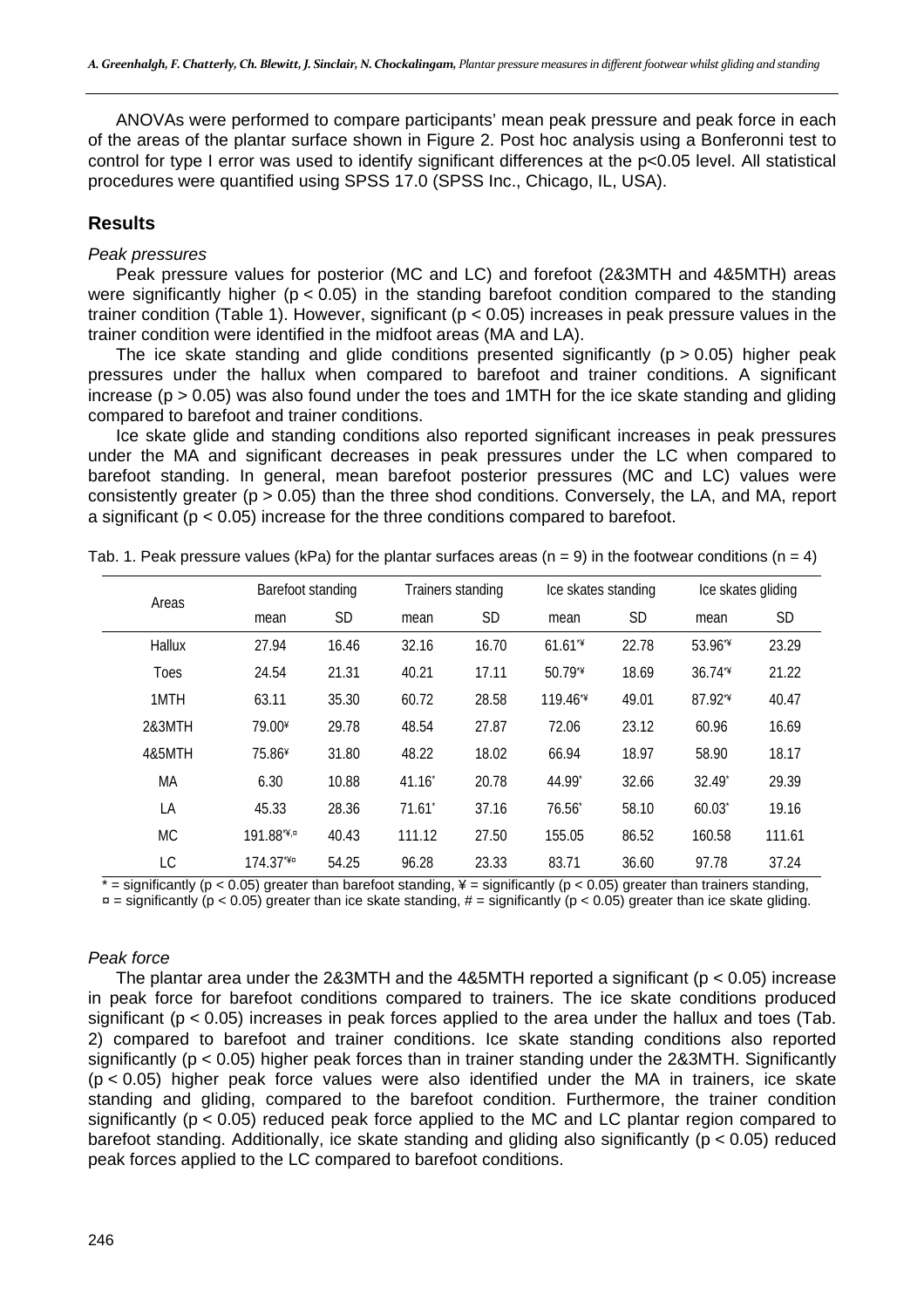ANOVAs were performed to compare participants' mean peak pressure and peak force in each of the areas of the plantar surface shown in Figure 2. Post hoc analysis using a Bonferonni test to control for type I error was used to identify significant differences at the p<0.05 level. All statistical procedures were quantified using SPSS 17.0 (SPSS Inc., Chicago, IL, USA).

# **Results**

#### *Peak pressures*

Peak pressure values for posterior (MC and LC) and forefoot (2&3MTH and 4&5MTH) areas were significantly higher ( $p < 0.05$ ) in the standing barefoot condition compared to the standing trainer condition (Table 1). However, significant (p < 0.05) increases in peak pressure values in the trainer condition were identified in the midfoot areas (MA and LA).

The ice skate standing and glide conditions presented significantly ( $p > 0.05$ ) higher peak pressures under the hallux when compared to barefoot and trainer conditions. A significant increase ( $p > 0.05$ ) was also found under the toes and 1MTH for the ice skate standing and gliding compared to barefoot and trainer conditions.

Ice skate glide and standing conditions also reported significant increases in peak pressures under the MA and significant decreases in peak pressures under the LC when compared to barefoot standing. In general, mean barefoot posterior pressures (MC and LC) values were consistently greater (p > 0.05) than the three shod conditions. Conversely, the LA, and MA, report a significant ( $p < 0.05$ ) increase for the three conditions compared to barefoot.

| Areas       |                    | Barefoot standing |                 | Trainers standing |           | Ice skates standing |                    | Ice skates gliding |  |
|-------------|--------------------|-------------------|-----------------|-------------------|-----------|---------------------|--------------------|--------------------|--|
|             | mean               | <b>SD</b>         | mean            | <b>SD</b>         | mean      | <b>SD</b>           | mean               | <b>SD</b>          |  |
| Hallux      | 27.94              | 16.46             | 32.16           | 16.70             | $61.61**$ | 22.78               | 53.96 <sup>*</sup> | 23.29              |  |
| <b>Toes</b> | 24.54              | 21.31             | 40.21           | 17.11             | 50.79**   | 18.69               | $36.74**$          | 21.22              |  |
| 1MTH        | 63.11              | 35.30             | 60.72           | 28.58             | $119.46*$ | 49.01               | 87.92**            | 40.47              |  |
| 2&3MTH      | 79.00 <sup>¥</sup> | 29.78             | 48.54           | 27.87             | 72.06     | 23.12               | 60.96              | 16.69              |  |
| 4&5MTH      | 75.86 <sup>¥</sup> | 31.80             | 48.22           | 18.02             | 66.94     | 18.97               | 58.90              | 18.17              |  |
| МA          | 6.30               | 10.88             | 41.16           | 20.78             | 44.99*    | 32.66               | 32.49*             | 29.39              |  |
| LA          | 45.33              | 28.36             | $71.61^{\circ}$ | 37.16             | $76.56^*$ | 58.10               | $60.03^*$          | 19.16              |  |
| <b>MC</b>   | 191.88*¥,¤         | 40.43             | 111.12          | 27.50             | 155.05    | 86.52               | 160.58             | 111.61             |  |
| LC          | $174.37**$         | 54.25             | 96.28           | 23.33             | 83.71     | 36.60               | 97.78              | 37.24              |  |

Tab. 1. Peak pressure values (kPa) for the plantar surfaces areas (n = 9) in the footwear conditions (n = 4)

 $* =$  significantly (p < 0.05) greater than barefoot standing,  $* =$  significantly (p < 0.05) greater than trainers standing,  $\mu$  = significantly (p < 0.05) greater than ice skate standing, # = significantly (p < 0.05) greater than ice skate gliding.

### *Peak force*

The plantar area under the 2&3MTH and the 4&5MTH reported a significant ( $p < 0.05$ ) increase in peak force for barefoot conditions compared to trainers. The ice skate conditions produced significant (p < 0.05) increases in peak forces applied to the area under the hallux and toes (Tab. 2) compared to barefoot and trainer conditions. Ice skate standing conditions also reported significantly ( $p < 0.05$ ) higher peak forces than in trainer standing under the 2&3MTH. Significantly (p < 0.05) higher peak force values were also identified under the MA in trainers, ice skate standing and gliding, compared to the barefoot condition. Furthermore, the trainer condition significantly ( $p < 0.05$ ) reduced peak force applied to the MC and LC plantar region compared to barefoot standing. Additionally, ice skate standing and gliding also significantly ( $p < 0.05$ ) reduced peak forces applied to the LC compared to barefoot conditions.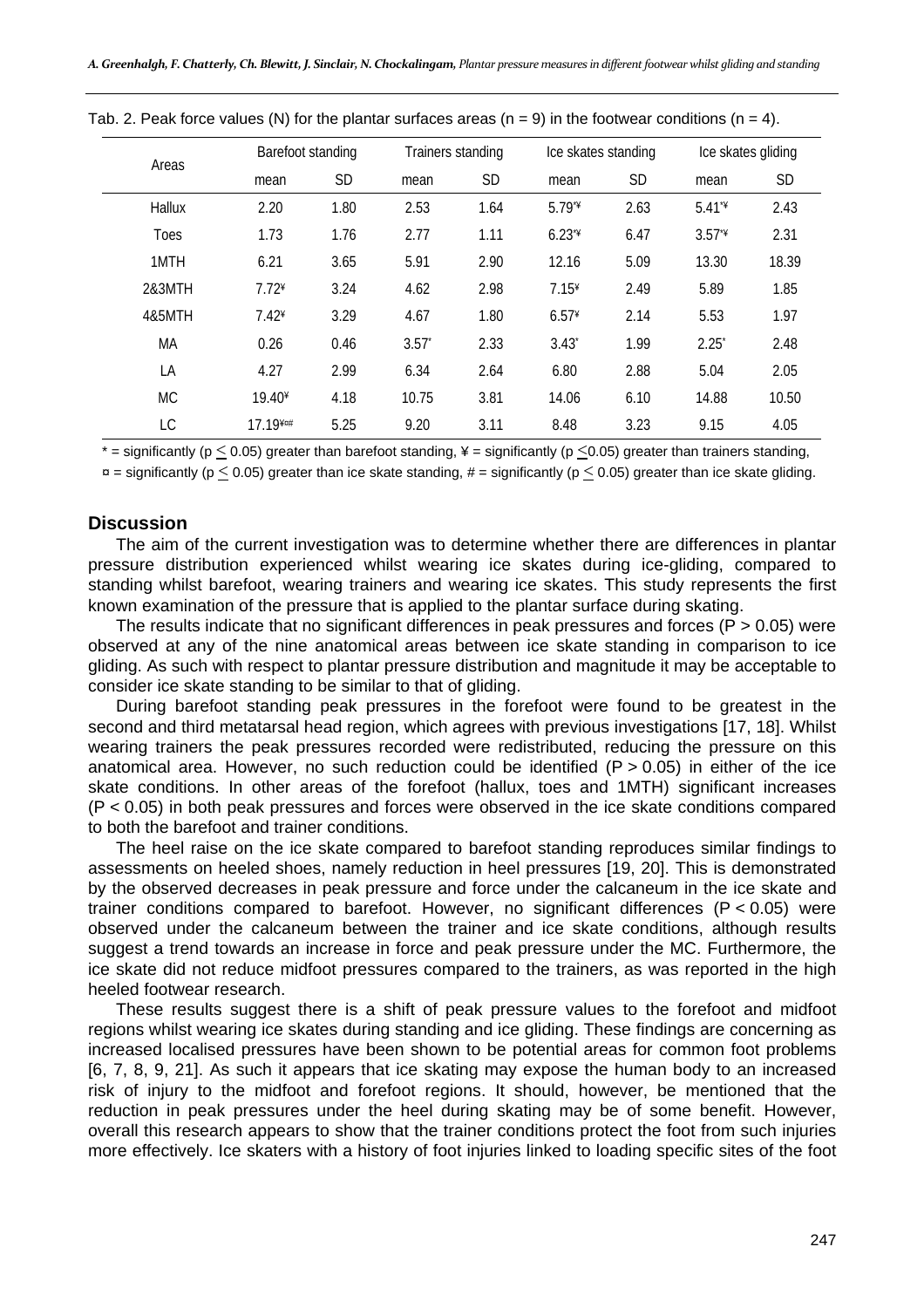| Areas       |          | Barefoot standing |                | Trainers standing |         | Ice skates standing |          | Ice skates gliding |  |
|-------------|----------|-------------------|----------------|-------------------|---------|---------------------|----------|--------------------|--|
|             | mean     | <b>SD</b>         | mean           | <b>SD</b>         | mean    | <b>SD</b>           | mean     | <b>SD</b>          |  |
| Hallux      | 2.20     | 1.80              | 2.53           | 1.64              | $5.79*$ | 2.63                | $5.41*$  | 2.43               |  |
| <b>Toes</b> | 1.73     | 1.76              | 2.77           | 1.11              | $6.23*$ | 6.47                | $3.57*$  | 2.31               |  |
| 1MTH        | 6.21     | 3.65              | 5.91           | 2.90              | 12.16   | 5.09                | 13.30    | 18.39              |  |
| 2&3MTH      | $7.72*$  | 3.24              | 4.62           | 2.98              | $7.15*$ | 2.49                | 5.89     | 1.85               |  |
| 4&5MTH      | $7.42*$  | 3.29              | 4.67           | 1.80              | $6.57*$ | 2.14                | 5.53     | 1.97               |  |
| МA          | 0.26     | 0.46              | $3.57^{\circ}$ | 2.33              | $3.43*$ | 1.99                | $2.25^*$ | 2.48               |  |
| LA          | 4.27     | 2.99              | 6.34           | 2.64              | 6.80    | 2.88                | 5.04     | 2.05               |  |
| <b>MC</b>   | $19.40*$ | 4.18              | 10.75          | 3.81              | 14.06   | 6.10                | 14.88    | 10.50              |  |
| LC          | 17.19¥¤# | 5.25              | 9.20           | 3.11              | 8.48    | 3.23                | 9.15     | 4.05               |  |

Tab. 2. Peak force values (N) for the plantar surfaces areas  $(n = 9)$  in the footwear conditions  $(n = 4)$ .

 $*$  = significantly (p < 0.05) greater than barefoot standing, \frac{ide{ide} = significantly (p < 0.05) greater than trainers standing,

 $\alpha$  = significantly (p < 0.05) greater than ice skate standing, # = significantly (p < 0.05) greater than ice skate gliding.

#### **Discussion**

The aim of the current investigation was to determine whether there are differences in plantar pressure distribution experienced whilst wearing ice skates during ice-gliding, compared to standing whilst barefoot, wearing trainers and wearing ice skates. This study represents the first known examination of the pressure that is applied to the plantar surface during skating.

The results indicate that no significant differences in peak pressures and forces ( $P > 0.05$ ) were observed at any of the nine anatomical areas between ice skate standing in comparison to ice gliding. As such with respect to plantar pressure distribution and magnitude it may be acceptable to consider ice skate standing to be similar to that of gliding.

During barefoot standing peak pressures in the forefoot were found to be greatest in the second and third metatarsal head region, which agrees with previous investigations [17, 18]. Whilst wearing trainers the peak pressures recorded were redistributed, reducing the pressure on this anatomical area. However, no such reduction could be identified ( $P > 0.05$ ) in either of the ice skate conditions. In other areas of the forefoot (hallux, toes and 1MTH) significant increases (P < 0.05) in both peak pressures and forces were observed in the ice skate conditions compared to both the barefoot and trainer conditions.

The heel raise on the ice skate compared to barefoot standing reproduces similar findings to assessments on heeled shoes, namely reduction in heel pressures [19, 20]. This is demonstrated by the observed decreases in peak pressure and force under the calcaneum in the ice skate and trainer conditions compared to barefoot. However, no significant differences (P < 0.05) were observed under the calcaneum between the trainer and ice skate conditions, although results suggest a trend towards an increase in force and peak pressure under the MC. Furthermore, the ice skate did not reduce midfoot pressures compared to the trainers, as was reported in the high heeled footwear research.

These results suggest there is a shift of peak pressure values to the forefoot and midfoot regions whilst wearing ice skates during standing and ice gliding. These findings are concerning as increased localised pressures have been shown to be potential areas for common foot problems [6, 7, 8, 9, 21]. As such it appears that ice skating may expose the human body to an increased risk of injury to the midfoot and forefoot regions. It should, however, be mentioned that the reduction in peak pressures under the heel during skating may be of some benefit. However, overall this research appears to show that the trainer conditions protect the foot from such injuries more effectively. Ice skaters with a history of foot injuries linked to loading specific sites of the foot